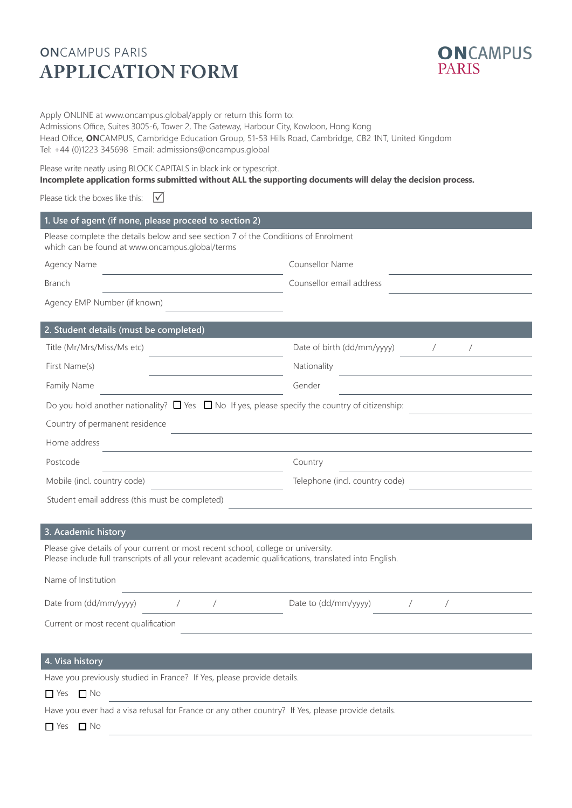## **ON**CAMPUS PARIS **APPLICATION FORM**



Apply ONLINE at www.oncampus.global/apply or return this form to:

Admissions Office, Suites 3005-6, Tower 2, The Gateway, Harbour City, Kowloon, Hong Kong Head Office, **ON**CAMPUS, Cambridge Education Group, 51-53 Hills Road, Cambridge, CB2 1NT, United Kingdom Tel: +44 (0)1223 345698 Email: admissions@oncampus.global

Please write neatly using BLOCK CAPITALS in black ink or typescript.

### **Incomplete application forms submitted without ALL the supporting documents will delay the decision process.**

Please tick the boxes like this:  $\vec{V}$ 

| 1. Use of agent (if none, please proceed to section 2)                                                                                                                                      |                                                  |  |  |
|---------------------------------------------------------------------------------------------------------------------------------------------------------------------------------------------|--------------------------------------------------|--|--|
| Please complete the details below and see section 7 of the Conditions of Enrolment<br>which can be found at www.oncampus.global/terms                                                       |                                                  |  |  |
| Agency Name<br><u> 1980 - Johann Barn, fransk politik (d. 19</u>                                                                                                                            | <b>Counsellor Name</b>                           |  |  |
| <b>Branch</b>                                                                                                                                                                               | Counsellor email address                         |  |  |
| Agency EMP Number (if known)                                                                                                                                                                |                                                  |  |  |
| 2. Student details (must be completed)                                                                                                                                                      |                                                  |  |  |
| Title (Mr/Mrs/Miss/Ms etc)                                                                                                                                                                  | Date of birth (dd/mm/yyyy) /<br>$\sqrt{2}$       |  |  |
| First Name(s)                                                                                                                                                                               | Nationality                                      |  |  |
| Family Name                                                                                                                                                                                 | Gender                                           |  |  |
| Do you hold another nationality? $\square$ Yes $\square$ No If yes, please specify the country of citizenship:                                                                              |                                                  |  |  |
| Country of permanent residence                                                                                                                                                              |                                                  |  |  |
| Home address                                                                                                                                                                                |                                                  |  |  |
| Postcode<br>the control of the control of the control of the control of the control of                                                                                                      | Country                                          |  |  |
| Mobile (incl. country code)                                                                                                                                                                 | Telephone (incl. country code)                   |  |  |
| Student email address (this must be completed)                                                                                                                                              |                                                  |  |  |
|                                                                                                                                                                                             |                                                  |  |  |
| 3. Academic history                                                                                                                                                                         |                                                  |  |  |
| Please give details of your current or most recent school, college or university.<br>Please include full transcripts of all your relevant academic qualifications, translated into English. |                                                  |  |  |
| Name of Institution                                                                                                                                                                         |                                                  |  |  |
| Date from (dd/mm/yyyy)<br>$\sqrt{2}$<br>$\overline{1}$                                                                                                                                      | Date to (dd/mm/yyyy)<br>$\sqrt{2}$<br>$\sqrt{2}$ |  |  |
| Current or most recent qualification                                                                                                                                                        |                                                  |  |  |
|                                                                                                                                                                                             |                                                  |  |  |
| 4. Visa history                                                                                                                                                                             |                                                  |  |  |
| Have you previously studied in France? If Yes, please provide details.                                                                                                                      |                                                  |  |  |
| $\Box$ Yes $\Box$ No                                                                                                                                                                        |                                                  |  |  |
| Have you ever had a visa refusal for France or any other country? If Yes, please provide details.                                                                                           |                                                  |  |  |
| $\Box$ Yes $\Box$ No                                                                                                                                                                        |                                                  |  |  |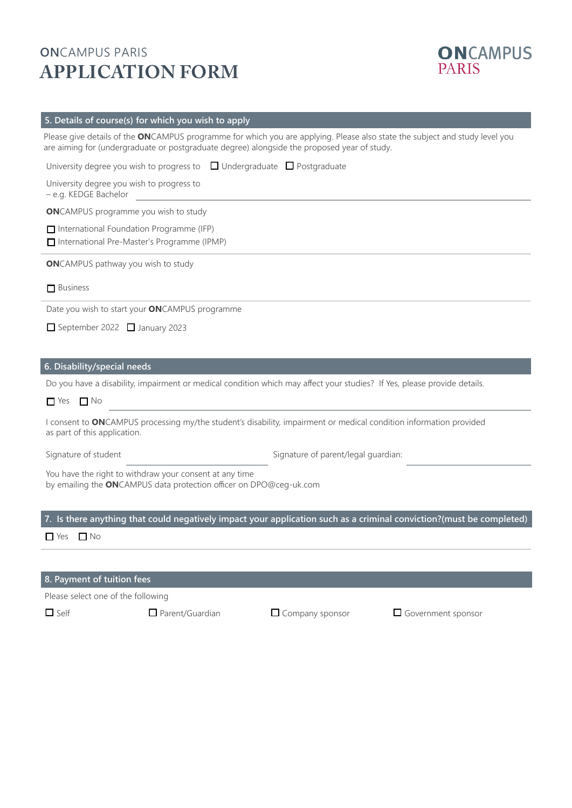# **ON**CAMPUS PARIS **APPLICATION FORM**



### **5. Details of course(s) for which you wish to apply**

Please give details of the **ON**CAMPUS programme for which you are applying. Please also state the subject and study level you are aiming for (undergraduate or postgraduate degree) alongside the proposed year of study.

| University degree you wish to progress to $\Box$ Undergraduate $\Box$ Postgraduate                                                                 |
|----------------------------------------------------------------------------------------------------------------------------------------------------|
| University degree you wish to progress to<br>- e.g. KEDGE Bachelor                                                                                 |
| <b>ON</b> CAMPUS programme you wish to study                                                                                                       |
| $\Box$ International Foundation Programme (IFP)<br>□ International Pre-Master's Programme (IPMP)                                                   |
| <b>ON</b> CAMPUS pathway you wish to study                                                                                                         |
| $\Box$ Business                                                                                                                                    |
| Date you wish to start your ONCAMPUS programme                                                                                                     |
| September 2022 January 2023                                                                                                                        |
|                                                                                                                                                    |
| 6. Disability/special needs                                                                                                                        |
| Do you have a disability, impairment or medical condition which may affect your studies? If Yes, please provide details.                           |
| $\Box$ Yes $\Box$ No                                                                                                                               |
| I consent to ONCAMPUS processing my/the student's disability, impairment or medical condition information provided<br>as part of this application. |
| Signature of student<br>Signature of parent/legal guardian:                                                                                        |
| You have the right to withdraw your consent at any time<br>by emailing the ONCAMPUS data protection officer on DPO@ceg-uk.com                      |
| 7. Is there anything that could negatively impact your application such as a criminal conviction?(must be completed)                               |

 $\Box$  Yes  $\Box$  No

#### **8. Payment of tuition fees**

Please select one of the following

 $\Box$  Self  $\Box$  Parent/Guardian  $\Box$  Company sponsor  $\Box$  Government sponsor